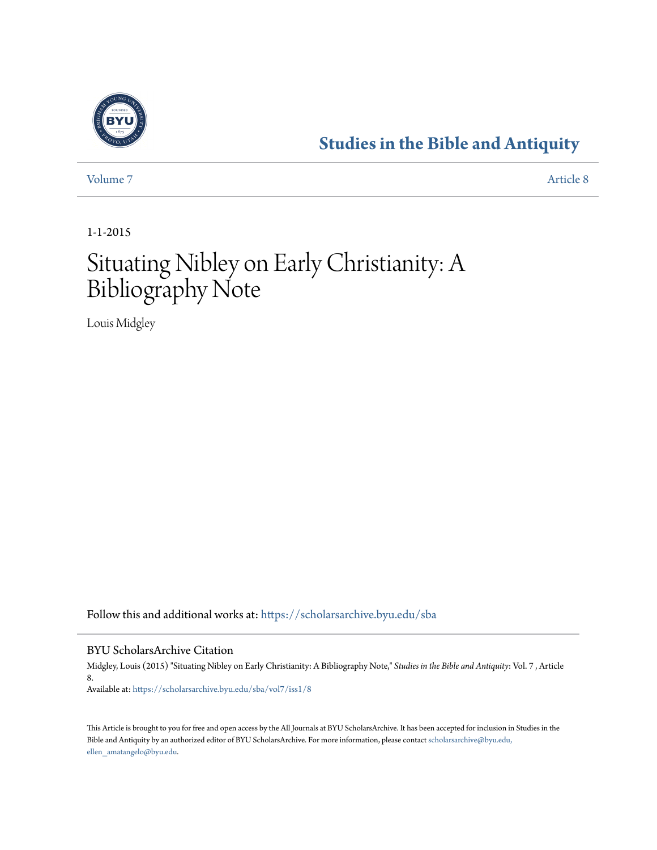

## **[Studies in the Bible and Antiquity](https://scholarsarchive.byu.edu/sba?utm_source=scholarsarchive.byu.edu%2Fsba%2Fvol7%2Fiss1%2F8&utm_medium=PDF&utm_campaign=PDFCoverPages)**

[Volume 7](https://scholarsarchive.byu.edu/sba/vol7?utm_source=scholarsarchive.byu.edu%2Fsba%2Fvol7%2Fiss1%2F8&utm_medium=PDF&utm_campaign=PDFCoverPages) [Article 8](https://scholarsarchive.byu.edu/sba/vol7/iss1/8?utm_source=scholarsarchive.byu.edu%2Fsba%2Fvol7%2Fiss1%2F8&utm_medium=PDF&utm_campaign=PDFCoverPages)

1-1-2015

# Situating Nibley on Early Christianity: A Bibliography Note

Louis Midgley

Follow this and additional works at: [https://scholarsarchive.byu.edu/sba](https://scholarsarchive.byu.edu/sba?utm_source=scholarsarchive.byu.edu%2Fsba%2Fvol7%2Fiss1%2F8&utm_medium=PDF&utm_campaign=PDFCoverPages)

#### BYU ScholarsArchive Citation

Midgley, Louis (2015) "Situating Nibley on Early Christianity: A Bibliography Note," *Studies in the Bible and Antiquity*: Vol. 7 , Article 8. Available at: [https://scholarsarchive.byu.edu/sba/vol7/iss1/8](https://scholarsarchive.byu.edu/sba/vol7/iss1/8?utm_source=scholarsarchive.byu.edu%2Fsba%2Fvol7%2Fiss1%2F8&utm_medium=PDF&utm_campaign=PDFCoverPages)

This Article is brought to you for free and open access by the All Journals at BYU ScholarsArchive. It has been accepted for inclusion in Studies in the Bible and Antiquity by an authorized editor of BYU ScholarsArchive. For more information, please contact [scholarsarchive@byu.edu,](mailto:scholarsarchive@byu.edu,%20ellen_amatangelo@byu.edu) [ellen\\_amatangelo@byu.edu.](mailto:scholarsarchive@byu.edu,%20ellen_amatangelo@byu.edu)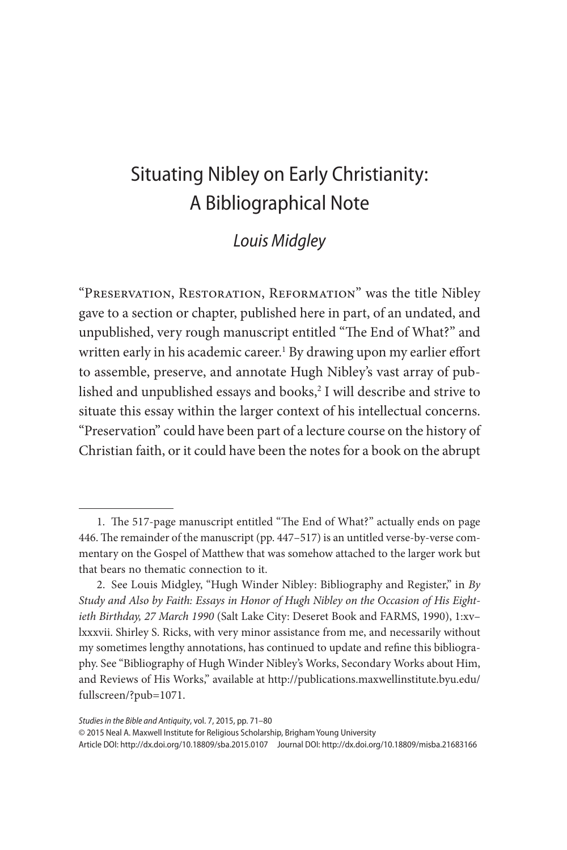## Situating Nibley on Early Christianity: A Bibliographical Note

### *Louis Midgley*

"Preservation, Restoration, Reformation" was the title Nibley gave to a section or chapter, published here in part, of an undated, and unpublished, very rough manuscript entitled "The End of What?" and written early in his academic career.1 By drawing upon my earlier effort to assemble, preserve, and annotate Hugh Nibley's vast array of published and unpublished essays and books, $^2$  I will describe and strive to situate this essay within the larger context of his intellectual concerns. "Preservation" could have been part of a lecture course on the history of Christian faith, or it could have been the notes for a book on the abrupt

© 2015 Neal A. Maxwell Institute for Religious Scholarship, Brigham Young University

Article DOI: http://dx.doi.org/10.18809/sba.2015.0107 Journal DOI: http://dx.doi.org/10.18809/misba.21683166

<sup>1.</sup> The 517-page manuscript entitled "The End of What?" actually ends on page 446. The remainder of the manuscript (pp. 447–517) is an untitled verse-by-verse commentary on the Gospel of Matthew that was somehow attached to the larger work but that bears no thematic connection to it.

<sup>2.</sup> See Louis Midgley, "Hugh Winder Nibley: Bibliography and Register," in *By Study and Also by Faith: Essays in Honor of Hugh Nibley on the Occasion of His Eightieth Birthday, 27 March 1990* (Salt Lake City: Deseret Book and FARMS, 1990), 1:xv– lxxxvii. Shirley S. Ricks, with very minor assistance from me, and necessarily without my sometimes lengthy annotations, has continued to update and refine this bibliography. See "Bibliography of Hugh Winder Nibley's Works, Secondary Works about Him, and Reviews of His Works," available at http://publications.maxwellinstitute.byu.edu/ fullscreen/?pub=1071.

*Studies in the Bible and Antiquity*, vol. 7, 2015, pp. 71–80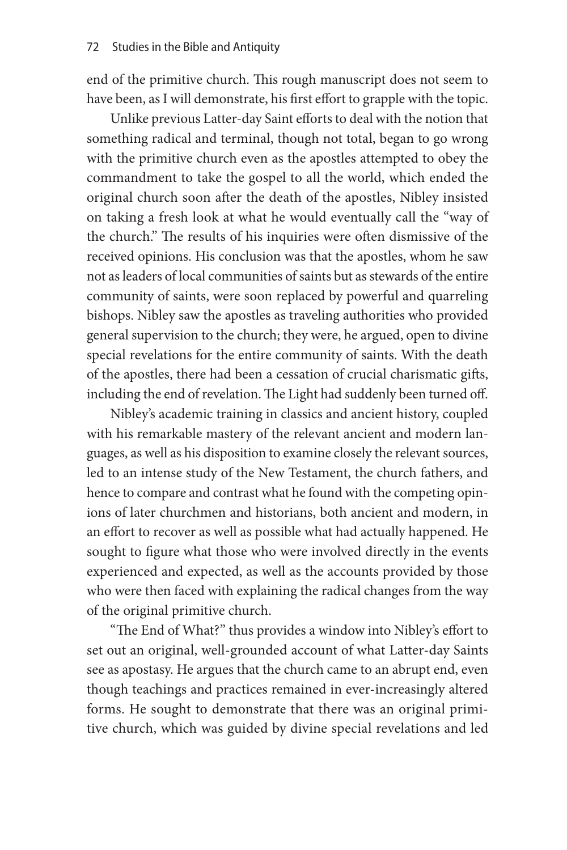end of the primitive church. This rough manuscript does not seem to have been, as I will demonstrate, his first effort to grapple with the topic.

Unlike previous Latter-day Saint efforts to deal with the notion that something radical and terminal, though not total, began to go wrong with the primitive church even as the apostles attempted to obey the commandment to take the gospel to all the world, which ended the original church soon after the death of the apostles, Nibley insisted on taking a fresh look at what he would eventually call the "way of the church." The results of his inquiries were often dismissive of the received opinions. His conclusion was that the apostles, whom he saw not as leaders of local communities of saints but as stewards of the entire community of saints, were soon replaced by powerful and quarreling bishops. Nibley saw the apostles as traveling authorities who provided general supervision to the church; they were, he argued, open to divine special revelations for the entire community of saints. With the death of the apostles, there had been a cessation of crucial charismatic gifts, including the end of revelation. The Light had suddenly been turned off.

Nibley's academic training in classics and ancient history, coupled with his remarkable mastery of the relevant ancient and modern languages, as well as his disposition to examine closely the relevant sources, led to an intense study of the New Testament, the church fathers, and hence to compare and contrast what he found with the competing opinions of later churchmen and historians, both ancient and modern, in an effort to recover as well as possible what had actually happened. He sought to figure what those who were involved directly in the events experienced and expected, as well as the accounts provided by those who were then faced with explaining the radical changes from the way of the original primitive church.

"The End of What?" thus provides a window into Nibley's effort to set out an original, well-grounded account of what Latter-day Saints see as apostasy. He argues that the church came to an abrupt end, even though teachings and practices remained in ever-increasingly altered forms. He sought to demonstrate that there was an original primitive church, which was guided by divine special revelations and led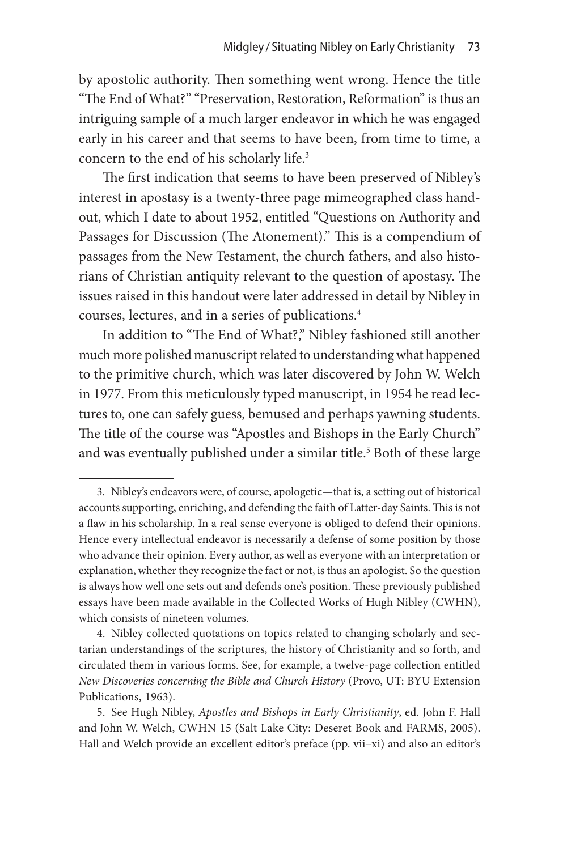by apostolic authority. Then something went wrong. Hence the title "The End of What?" "Preservation, Restoration, Reformation" is thus an intriguing sample of a much larger endeavor in which he was engaged early in his career and that seems to have been, from time to time, a concern to the end of his scholarly life.<sup>3</sup>

The first indication that seems to have been preserved of Nibley's interest in apostasy is a twenty-three page mimeographed class handout, which I date to about 1952, entitled "Questions on Authority and Passages for Discussion (The Atonement)." This is a compendium of passages from the New Testament, the church fathers, and also historians of Christian antiquity relevant to the question of apostasy. The issues raised in this handout were later addressed in detail by Nibley in courses, lectures, and in a series of publications.4

In addition to "The End of What?," Nibley fashioned still another much more polished manuscript related to understanding what happened to the primitive church, which was later discovered by John W. Welch in 1977. From this meticulously typed manuscript, in 1954 he read lectures to, one can safely guess, bemused and perhaps yawning students. The title of the course was "Apostles and Bishops in the Early Church" and was eventually published under a similar title.<sup>5</sup> Both of these large

<sup>3.</sup> Nibley's endeavors were, of course, apologetic—that is, a setting out of historical accounts supporting, enriching, and defending the faith of Latter-day Saints. This is not a flaw in his scholarship. In a real sense everyone is obliged to defend their opinions. Hence every intellectual endeavor is necessarily a defense of some position by those who advance their opinion. Every author, as well as everyone with an interpretation or explanation, whether they recognize the fact or not, is thus an apologist. So the question is always how well one sets out and defends one's position. These previously published essays have been made available in the Collected Works of Hugh Nibley (CWHN), which consists of nineteen volumes.

<sup>4.</sup> Nibley collected quotations on topics related to changing scholarly and sectarian understandings of the scriptures, the history of Christianity and so forth, and circulated them in various forms. See, for example, a twelve-page collection entitled *New Discoveries concerning the Bible and Church History* (Provo, UT: BYU Extension Publications, 1963).

<sup>5.</sup> See Hugh Nibley, *Apostles and Bishops in Early Christianity*, ed. John F. Hall and John W. Welch, CWHN 15 (Salt Lake City: Deseret Book and FARMS, 2005). Hall and Welch provide an excellent editor's preface (pp. vii–xi) and also an editor's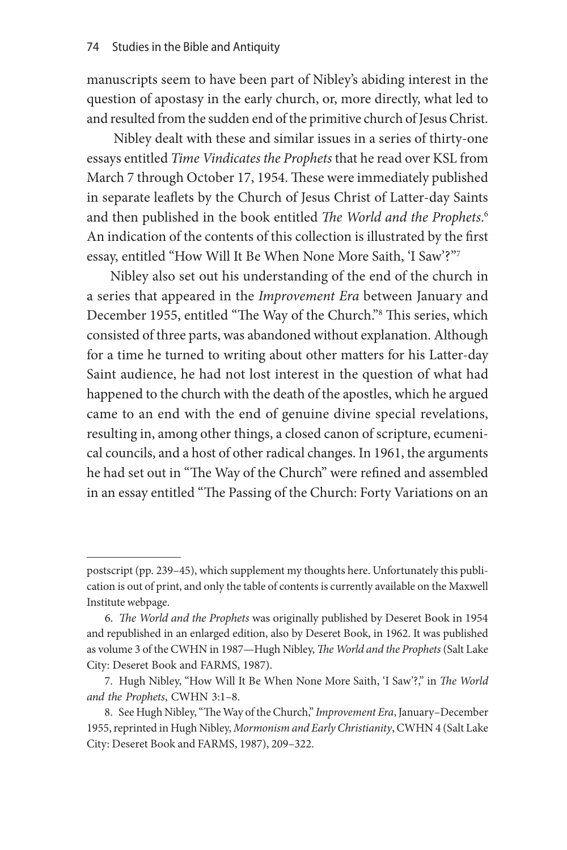manuscripts seem to have been part of Nibley's abiding interest in the question of apostasy in the early church, or, more directly, what led to and resulted from the sudden end of the primitive church of Jesus Christ.

 Nibley dealt with these and similar issues in a series of thirty-one essays entitled *Time Vindicates the Prophets* that he read over KSL from March 7 through October 17, 1954. These were immediately published in separate leaflets by the Church of Jesus Christ of Latter-day Saints and then published in the book entitled *The World and the Prophets*. 6 An indication of the contents of this collection is illustrated by the first essay, entitled "How Will It Be When None More Saith, 'I Saw'?"7

Nibley also set out his understanding of the end of the church in a series that appeared in the *Improvement Era* between January and December 1955, entitled "The Way of the Church."8 This series, which consisted of three parts, was abandoned without explanation. Although for a time he turned to writing about other matters for his Latter-day Saint audience, he had not lost interest in the question of what had happened to the church with the death of the apostles, which he argued came to an end with the end of genuine divine special revelations, resulting in, among other things, a closed canon of scripture, ecumenical councils, and a host of other radical changes. In 1961, the arguments he had set out in "The Way of the Church" were refined and assembled in an essay entitled "The Passing of the Church: Forty Variations on an

postscript (pp. 239–45), which supplement my thoughts here. Unfortunately this publication is out of print, and only the table of contents is currently available on the Maxwell Institute webpage.

<sup>6.</sup> *The World and the Prophets* was originally published by Deseret Book in 1954 and republished in an enlarged edition, also by Deseret Book, in 1962. It was published as volume 3 of the CWHN in 1987—Hugh Nibley, *The World and the Prophets* (Salt Lake City: Deseret Book and FARMS, 1987).

<sup>7.</sup> Hugh Nibley, "How Will It Be When None More Saith, 'I Saw'?," in *The World and the Prophets*, CWHN 3:1–8.

<sup>8.</sup> See Hugh Nibley, "The Way of the Church," *Improvement Era*, January–December 1955, reprinted in Hugh Nibley, *Mormonism and Early Christianity*, CWHN 4 (Salt Lake City: Deseret Book and FARMS, 1987), 209–322.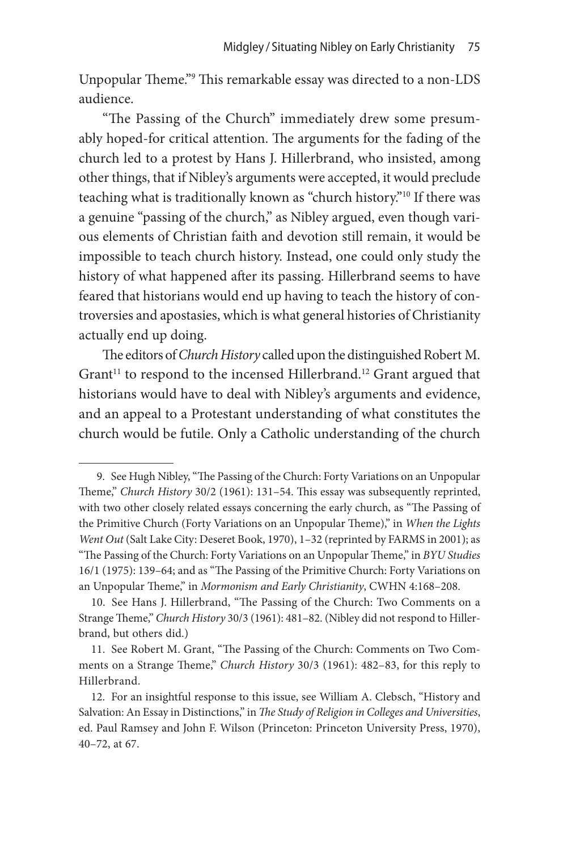Unpopular Theme."<sup>9</sup> This remarkable essay was directed to a non-LDS audience.

"The Passing of the Church" immediately drew some presumably hoped-for critical attention. The arguments for the fading of the church led to a protest by Hans J. Hillerbrand, who insisted, among other things, that if Nibley's arguments were accepted, it would preclude teaching what is traditionally known as "church history."10 If there was a genuine "passing of the church," as Nibley argued, even though various elements of Christian faith and devotion still remain, it would be impossible to teach church history. Instead, one could only study the history of what happened after its passing. Hillerbrand seems to have feared that historians would end up having to teach the history of controversies and apostasies, which is what general histories of Christianity actually end up doing.

The editors of *Church History* called upon the distinguished Robert M. Grant<sup>11</sup> to respond to the incensed Hillerbrand.<sup>12</sup> Grant argued that historians would have to deal with Nibley's arguments and evidence, and an appeal to a Protestant understanding of what constitutes the church would be futile. Only a Catholic understanding of the church

<sup>9.</sup> See Hugh Nibley, "The Passing of the Church: Forty Variations on an Unpopular Theme," *Church History* 30/2 (1961): 131–54. This essay was subsequently reprinted, with two other closely related essays concerning the early church, as "The Passing of the Primitive Church (Forty Variations on an Unpopular Theme)," in *When the Lights Went Out* (Salt Lake City: Deseret Book, 1970), 1–32 (reprinted by FARMS in 2001); as "The Passing of the Church: Forty Variations on an Unpopular Theme," in *BYU Studies* 16/1 (1975): 139–64; and as "The Passing of the Primitive Church: Forty Variations on an Unpopular Theme," in *Mormonism and Early Christianity*, CWHN 4:168–208.

<sup>10.</sup> See Hans J. Hillerbrand, "The Passing of the Church: Two Comments on a Strange Theme," *Church History* 30/3 (1961): 481–82. (Nibley did not respond to Hillerbrand, but others did.)

<sup>11.</sup> See Robert M. Grant, "The Passing of the Church: Comments on Two Comments on a Strange Theme," *Church History* 30/3 (1961): 482–83, for this reply to Hillerbrand.

<sup>12.</sup> For an insightful response to this issue, see William A. Clebsch, "History and Salvation: An Essay in Distinctions," in *The Study of Religion in Colleges and Universities*, ed. Paul Ramsey and John F. Wilson (Princeton: Princeton University Press, 1970), 40–72, at 67.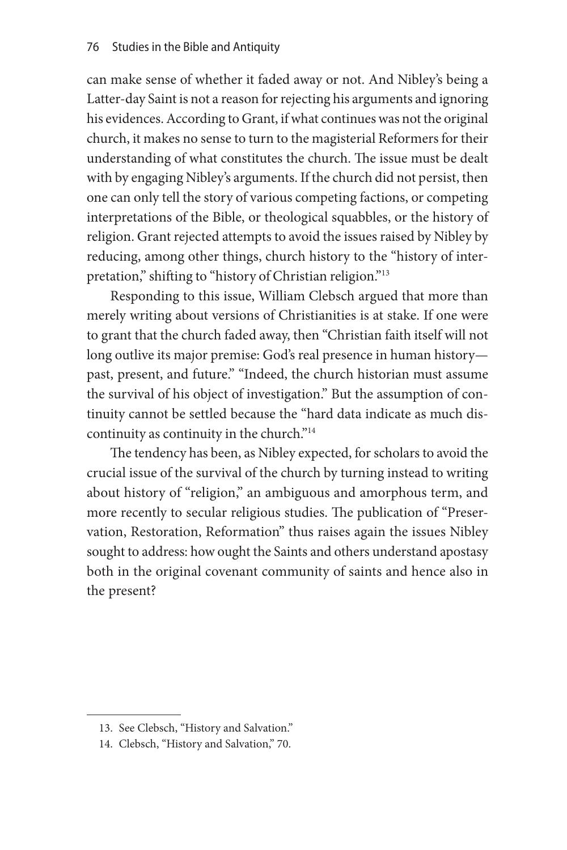can make sense of whether it faded away or not. And Nibley's being a Latter-day Saint is not a reason for rejecting his arguments and ignoring his evidences. According to Grant, if what continues was not the original church, it makes no sense to turn to the magisterial Reformers for their understanding of what constitutes the church. The issue must be dealt with by engaging Nibley's arguments. If the church did not persist, then one can only tell the story of various competing factions, or competing interpretations of the Bible, or theological squabbles, or the history of religion. Grant rejected attempts to avoid the issues raised by Nibley by reducing, among other things, church history to the "history of interpretation," shifting to "history of Christian religion."<sup>13</sup>

Responding to this issue, William Clebsch argued that more than merely writing about versions of Christianities is at stake. If one were to grant that the church faded away, then "Christian faith itself will not long outlive its major premise: God's real presence in human history past, present, and future." "Indeed, the church historian must assume the survival of his object of investigation." But the assumption of continuity cannot be settled because the "hard data indicate as much discontinuity as continuity in the church."<sup>14</sup>

The tendency has been, as Nibley expected, for scholars to avoid the crucial issue of the survival of the church by turning instead to writing about history of "religion," an ambiguous and amorphous term, and more recently to secular religious studies. The publication of "Preservation, Restoration, Reformation" thus raises again the issues Nibley sought to address: how ought the Saints and others understand apostasy both in the original covenant community of saints and hence also in the present?

<sup>13.</sup> See Clebsch, "History and Salvation."

<sup>14.</sup> Clebsch, "History and Salvation," 70.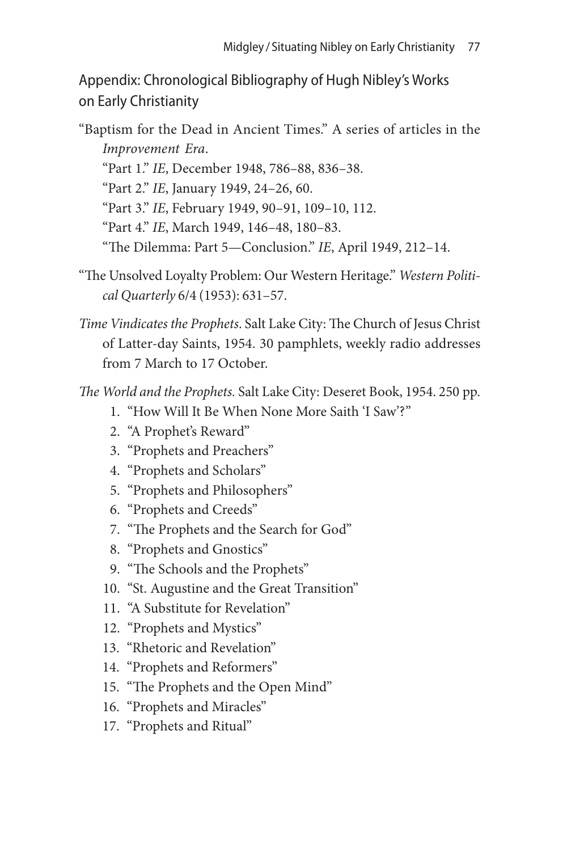Appendix: Chronological Bibliography of Hugh Nibley's Works on Early Christianity

"Baptism for the Dead in Ancient Times." A series of articles in the *Improvement Era*. "Part 1." *IE*, December 1948, 786–88, 836–38. "Part 2." *IE*, January 1949, 24–26, 60. "Part 3." *IE*, February 1949, 90–91, 109–10, 112. "Part 4." *IE*, March 1949, 146–48, 180–83. "The Dilemma: Part 5—Conclusion." *IE*, April 1949, 212–14.

- "The Unsolved Loyalty Problem: Our Western Heritage." *Western Political Quarterly* 6/4 (1953): 631–57.
- *Time Vindicates the Prophets*. Salt Lake City: The Church of Jesus Christ of Latter-day Saints, 1954. 30 pamphlets, weekly radio addresses from 7 March to 17 October.

*The World and the Prophets.* Salt Lake City: Deseret Book, 1954. 250 pp.

- 1. "How Will It Be When None More Saith 'I Saw'?"
- 2. "A Prophet's Reward"
- 3. "Prophets and Preachers"
- 4. "Prophets and Scholars"
- 5. "Prophets and Philosophers"
- 6. "Prophets and Creeds"
- 7. "The Prophets and the Search for God"
- 8. "Prophets and Gnostics"
- 9. "The Schools and the Prophets"
- 10. "St. Augustine and the Great Transition"
- 11. "A Substitute for Revelation"
- 12. "Prophets and Mystics"
- 13. "Rhetoric and Revelation"
- 14. "Prophets and Reformers"
- 15. "The Prophets and the Open Mind"
- 16. "Prophets and Miracles"
- 17. "Prophets and Ritual"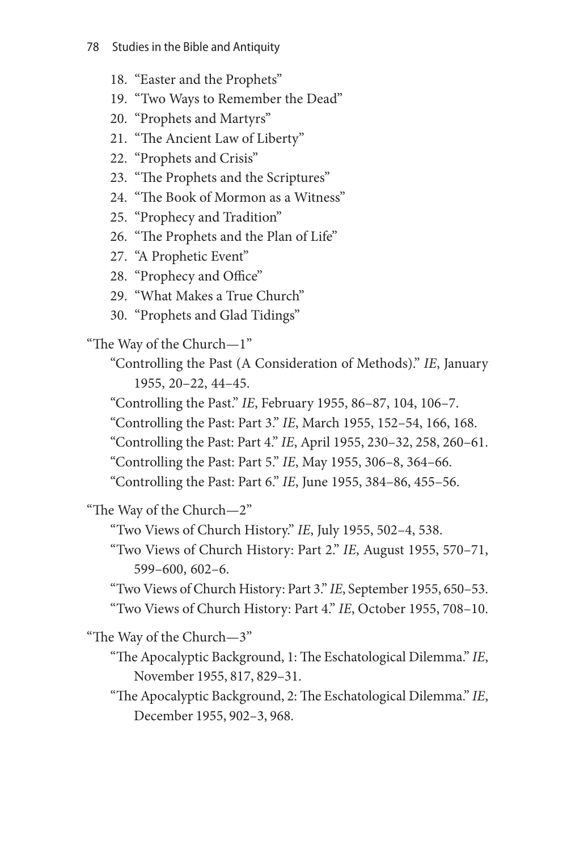- 18. "Easter and the Prophets"
- 19. "Two Ways to Remember the Dead"
- 20. "Prophets and Martyrs"
- 21. "The Ancient Law of Liberty"
- 22. "Prophets and Crisis"
- 23. "The Prophets and the Scriptures"
- 24. "The Book of Mormon as a Witness"
- 25. "Prophecy and Tradition"
- 26. "The Prophets and the Plan of Life"
- 27. "A Prophetic Event"
- 28. "Prophecy and Office"
- 29. "What Makes a True Church"
- 30. "Prophets and Glad Tidings"

"The Way of the Church—1"

"Controlling the Past (A Consideration of Methods)." *IE*, January 1955, 20–22, 44–45.

- "Controlling the Past." *IE*, February 1955, 86–87, 104, 106–7.
- "Controlling the Past: Part 3." *IE*, March 1955, 152–54, 166, 168.
- "Controlling the Past: Part 4." *IE*, April 1955, 230–32, 258, 260–61.
- "Controlling the Past: Part 5." *IE*, May 1955, 306–8, 364–66.

"Controlling the Past: Part 6." *IE*, June 1955, 384–86, 455–56.

"The Way of the Church—2"

"Two Views of Church History." *IE*, July 1955, 502–4, 538.

"Two Views of Church History: Part 2." *IE*, August 1955, 570–71, 599–600, 602–6.

"Two Views of Church History: Part 3." *IE*, September 1955, 650–53. "Two Views of Church History: Part 4." *IE*, October 1955, 708–10.

"The Way of the Church—3"

- "The Apocalyptic Background, 1: The Eschatological Dilemma." *IE*, November 1955, 817, 829–31.
- "The Apocalyptic Background, 2: The Eschatological Dilemma." *IE*, December 1955, 902–3, 968.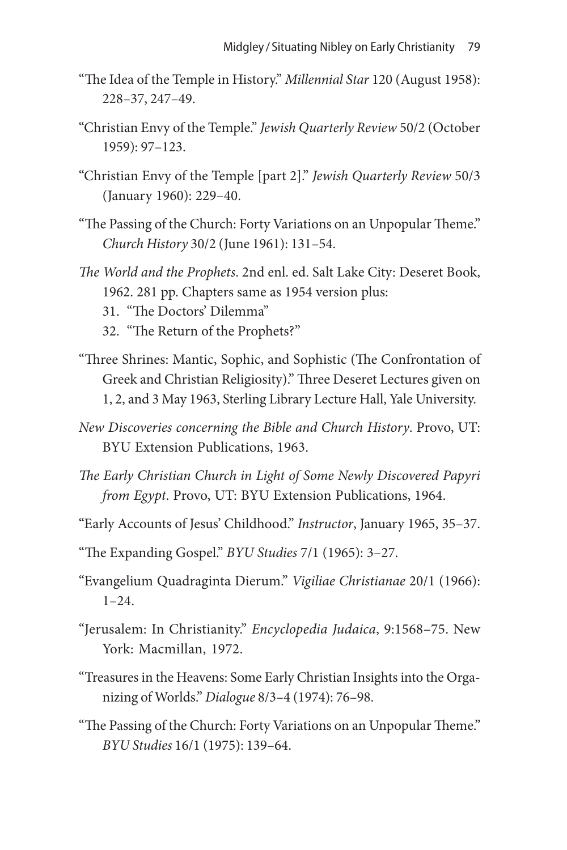- "The Idea of the Temple in History." *Millennial Star* 120 (August 1958): 228–37, 247–49.
- "Christian Envy of the Temple." *Jewish Quarterly Review* 50/2 (October 1959): 97–123.
- "Christian Envy of the Temple [part 2]." *Jewish Quarterly Review* 50/3 (January 1960): 229–40.
- "The Passing of the Church: Forty Variations on an Unpopular Theme." *Church History* 30/2 (June 1961): 131–54.
- *The World and the Prophets*. 2nd enl. ed. Salt Lake City: Deseret Book, 1962. 281 pp. Chapters same as 1954 version plus:
	- 31. "The Doctors' Dilemma"
	- 32. "The Return of the Prophets?"
- "Three Shrines: Mantic, Sophic, and Sophistic (The Confrontation of Greek and Christian Religiosity)." Three Deseret Lectures given on 1, 2, and 3 May 1963, Sterling Library Lecture Hall, Yale University.
- *New Discoveries concerning the Bible and Church History*. Provo, UT: BYU Extension Publications, 1963.
- *The Early Christian Church in Light of Some Newly Discovered Papyri from Egypt*. Provo, UT: BYU Extension Publications, 1964.
- "Early Accounts of Jesus' Childhood." *Instructor*, January 1965, 35–37.
- "The Expanding Gospel." *BYU Studies* 7/1 (1965): 3–27.
- "Evangelium Quadraginta Dierum." *Vigiliae Christianae* 20/1 (1966):  $1 - 24$
- "Jerusalem: In Christianity." *Encyclopedia Judaica*, 9:1568–75. New York: Macmillan, 1972.
- "Treasures in the Heavens: Some Early Christian Insights into the Organizing of Worlds." *Dialogue* 8/3–4 (1974): 76–98.
- "The Passing of the Church: Forty Variations on an Unpopular Theme." *BYU Studies* 16/1 (1975): 139–64.